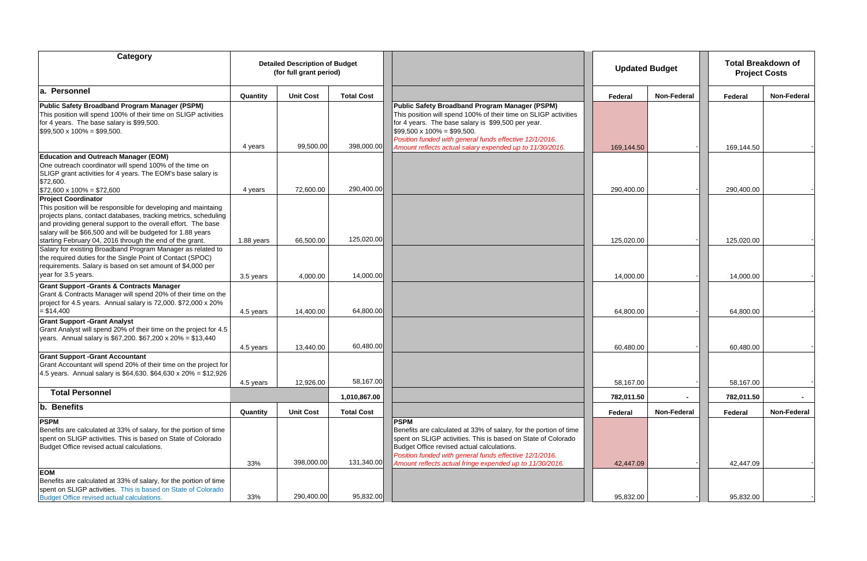| Category                                                                                                                                                                                                                                                          |            | <b>Detailed Description of Budget</b><br>(for full grant period) |                   |                                                                                                                                                                                                                                                                                                                                     |            | <b>Updated Budget</b> | <b>Project Costs</b> | <b>Total Breakdown of</b> |
|-------------------------------------------------------------------------------------------------------------------------------------------------------------------------------------------------------------------------------------------------------------------|------------|------------------------------------------------------------------|-------------------|-------------------------------------------------------------------------------------------------------------------------------------------------------------------------------------------------------------------------------------------------------------------------------------------------------------------------------------|------------|-----------------------|----------------------|---------------------------|
| a. Personnel                                                                                                                                                                                                                                                      | Quantity   | <b>Unit Cost</b>                                                 | <b>Total Cost</b> |                                                                                                                                                                                                                                                                                                                                     | Federal    | <b>Non-Federal</b>    | Federal              | <b>Non-Federal</b>        |
| Public Safety Broadband Program Manager (PSPM)<br>This position will spend 100% of their time on SLIGP activities<br>for 4 years. The base salary is \$99,500.<br>$$99,500 \times 100\% = $99,500.$                                                               | 4 years    | 99,500.00                                                        | 398,000.00        | Public Safety Broadband Program Manager (PSPM)<br>This position will spend 100% of their time on SLIGP activities<br>for 4 years. The base salary is \$99,500 per year.<br>$$99,500 \times 100\% = $99,500.$<br>Position funded with general funds effective 12/1/2016.<br>Amount reflects actual salary expended up to 11/30/2016. | 169,144.50 |                       | 169,144.50           |                           |
| <b>Education and Outreach Manager (EOM)</b>                                                                                                                                                                                                                       |            |                                                                  |                   |                                                                                                                                                                                                                                                                                                                                     |            |                       |                      |                           |
| One outreach coordinator will spend 100% of the time on<br>SLIGP grant activities for 4 years. The EOM's base salary is<br>\$72,600.<br>$$72,600 \times 100\% = $72,600$                                                                                          | 4 years    | 72,600.00                                                        | 290,400.00        |                                                                                                                                                                                                                                                                                                                                     | 290,400.00 |                       | 290,400.00           |                           |
| <b>Project Coordinator</b>                                                                                                                                                                                                                                        |            |                                                                  |                   |                                                                                                                                                                                                                                                                                                                                     |            |                       |                      |                           |
| This position will be responsible for developing and maintaing<br>projects plans, contact databases, tracking metrics, scheduling<br>and providing general support to the overall effort. The base<br>salary will be \$66,500 and will be budgeted for 1.88 years |            |                                                                  |                   |                                                                                                                                                                                                                                                                                                                                     |            |                       |                      |                           |
| starting February 04, 2016 through the end of the grant.                                                                                                                                                                                                          | 1.88 years | 66,500.00                                                        | 125,020.00        |                                                                                                                                                                                                                                                                                                                                     | 125,020.00 |                       | 125,020.00           |                           |
| Salary for existing Broadband Program Manager as related to<br>the required duties for the Single Point of Contact (SPOC)<br>requirements. Salary is based on set amount of \$4,000 per<br>year for 3.5 years.                                                    | 3.5 years  | 4,000.00                                                         | 14,000.00         |                                                                                                                                                                                                                                                                                                                                     | 14,000.00  |                       | 14,000.00            |                           |
| <b>Grant Support -Grants &amp; Contracts Manager</b><br>Grant & Contracts Manager will spend 20% of their time on the<br>project for 4.5 years. Annual salary is 72,000. \$72,000 x 20%<br>$= $14,400$                                                            | 4.5 years  | 14,400.00                                                        | 64,800.00         |                                                                                                                                                                                                                                                                                                                                     | 64,800.00  |                       | 64,800.00            |                           |
| <b>Grant Support -Grant Analyst</b>                                                                                                                                                                                                                               |            |                                                                  |                   |                                                                                                                                                                                                                                                                                                                                     |            |                       |                      |                           |
| Grant Analyst will spend 20% of their time on the project for 4.5<br>years. Annual salary is \$67,200. \$67,200 x 20% = \$13,440                                                                                                                                  | 4.5 years  | 13,440.00                                                        | 60,480.00         |                                                                                                                                                                                                                                                                                                                                     | 60,480.00  |                       | 60,480.00            |                           |
| <b>Grant Support -Grant Accountant</b><br>Grant Accountant will spend 20% of their time on the project for<br>4.5 years. Annual salary is \$64,630. \$64,630 x 20% = \$12,926                                                                                     |            |                                                                  | 58,167.00         |                                                                                                                                                                                                                                                                                                                                     |            |                       |                      |                           |
| <b>Total Personnel</b>                                                                                                                                                                                                                                            | 4.5 years  | 12,926.00                                                        |                   |                                                                                                                                                                                                                                                                                                                                     | 58,167.00  |                       | 58,167.00            |                           |
|                                                                                                                                                                                                                                                                   |            |                                                                  | 1,010,867.00      |                                                                                                                                                                                                                                                                                                                                     | 782,011.50 | $\sim$                | 782,011.50           | $\sim$ 100 $\mu$          |
| b. Benefits                                                                                                                                                                                                                                                       | Quantity   | <b>Unit Cost</b>                                                 | <b>Total Cost</b> |                                                                                                                                                                                                                                                                                                                                     | Federal    | Non-Federal           | Federal              | <b>Non-Federal</b>        |
| <b>PSPM</b><br>Benefits are calculated at 33% of salary, for the portion of time<br>spent on SLIGP activities. This is based on State of Colorado<br>Budget Office revised actual calculations.                                                                   |            |                                                                  |                   | <b>PSPM</b><br>Benefits are calculated at 33% of salary, for the portion of time<br>spent on SLIGP activities. This is based on State of Colorado<br>Budget Office revised actual calculations.<br>Position funded with general funds effective 12/1/2016.                                                                          |            |                       |                      |                           |
|                                                                                                                                                                                                                                                                   | 33%        | 398,000.00                                                       | 131,340.00        | Amount reflects actual fringe expended up to 11/30/2016.                                                                                                                                                                                                                                                                            | 42,447.09  |                       | 42,447.09            |                           |
| <b>EOM</b><br>Benefits are calculated at 33% of salary, for the portion of time<br>spent on SLIGP activities. This is based on State of Colorado<br>Budget Office revised actual calculations.                                                                    | 33%        | 290,400.00                                                       | 95,832.00         |                                                                                                                                                                                                                                                                                                                                     | 95,832.00  |                       | 95,832.00            |                           |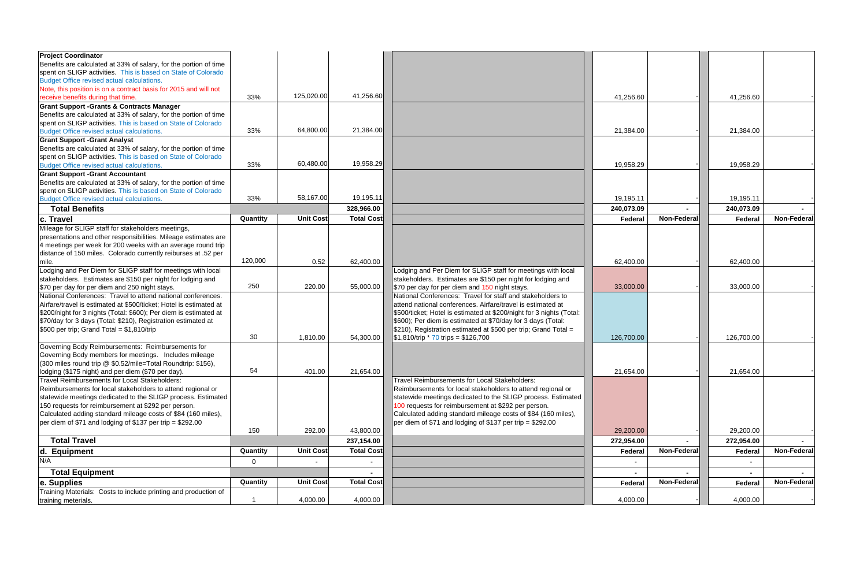| <b>Project Coordinator</b>                                         |                |                  |                   |                                                                      |            |                    |            |             |
|--------------------------------------------------------------------|----------------|------------------|-------------------|----------------------------------------------------------------------|------------|--------------------|------------|-------------|
| Benefits are calculated at 33% of salary, for the portion of time  |                |                  |                   |                                                                      |            |                    |            |             |
| spent on SLIGP activities. This is based on State of Colorado      |                |                  |                   |                                                                      |            |                    |            |             |
| Budget Office revised actual calculations.                         |                |                  |                   |                                                                      |            |                    |            |             |
| Note, this position is on a contract basis for 2015 and will not   |                |                  |                   |                                                                      |            |                    |            |             |
| receive benefits during that time.                                 | 33%            | 125,020.00       | 41,256.60         |                                                                      | 41,256.60  |                    | 41,256.60  |             |
| <b>Grant Support -Grants &amp; Contracts Manager</b>               |                |                  |                   |                                                                      |            |                    |            |             |
| Benefits are calculated at 33% of salary, for the portion of time  |                |                  |                   |                                                                      |            |                    |            |             |
| spent on SLIGP activities. This is based on State of Colorado      |                |                  |                   |                                                                      |            |                    |            |             |
| Budget Office revised actual calculations.                         | 33%            | 64,800.00        | 21,384.00         |                                                                      | 21,384.00  |                    | 21,384.00  |             |
| <b>Grant Support -Grant Analyst</b>                                |                |                  |                   |                                                                      |            |                    |            |             |
| Benefits are calculated at 33% of salary, for the portion of time  |                |                  |                   |                                                                      |            |                    |            |             |
| spent on SLIGP activities. This is based on State of Colorado      |                |                  |                   |                                                                      |            |                    |            |             |
| Budget Office revised actual calculations.                         | 33%            | 60,480.00        | 19,958.29         |                                                                      | 19,958.29  |                    | 19,958.29  |             |
| <b>Grant Support -Grant Accountant</b>                             |                |                  |                   |                                                                      |            |                    |            |             |
| Benefits are calculated at 33% of salary, for the portion of time  |                |                  |                   |                                                                      |            |                    |            |             |
| spent on SLIGP activities. This is based on State of Colorado      |                |                  |                   |                                                                      |            |                    |            |             |
| Budget Office revised actual calculations.                         | 33%            | 58,167.00        | 19,195.11         |                                                                      | 19,195.11  |                    | 19,195.11  |             |
| <b>Total Benefits</b>                                              |                |                  | 328,966.00        |                                                                      | 240,073.09 |                    | 240,073.09 |             |
| c. Travel                                                          | Quantity       | <b>Unit Cost</b> | <b>Total Cost</b> |                                                                      | Federal    | Non-Federal        | Federal    | Non-Federal |
| Mileage for SLIGP staff for stakeholders meetings,                 |                |                  |                   |                                                                      |            |                    |            |             |
| presentations and other responsibilities. Mileage estimates are    |                |                  |                   |                                                                      |            |                    |            |             |
| 4 meetings per week for 200 weeks with an average round trip       |                |                  |                   |                                                                      |            |                    |            |             |
| distance of 150 miles. Colorado currently reiburses at .52 per     |                |                  |                   |                                                                      |            |                    |            |             |
| mile.                                                              | 120,000        | 0.52             | 62,400.00         |                                                                      | 62,400.00  |                    | 62,400.00  |             |
| Lodging and Per Diem for SLIGP staff for meetings with local       |                |                  |                   | Lodging and Per Diem for SLIGP staff for meetings with local         |            |                    |            |             |
| stakeholders. Estimates are \$150 per night for lodging and        |                |                  |                   | stakeholders. Estimates are \$150 per night for lodging and          |            |                    |            |             |
| \$70 per day for per diem and 250 night stays.                     | 250            | 220.00           | 55,000.00         | \$70 per day for per diem and 150 night stays.                       | 33,000.00  |                    | 33,000.00  |             |
| National Conferences: Travel to attend national conferences.       |                |                  |                   | National Conferences: Travel for staff and stakeholders to           |            |                    |            |             |
| Airfare/travel is estimated at \$500/ticket; Hotel is estimated at |                |                  |                   | attend national conferences. Airfare/travel is estimated at          |            |                    |            |             |
| \$200/night for 3 nights (Total: \$600); Per diem is estimated at  |                |                  |                   | \$500/ticket; Hotel is estimated at \$200/night for 3 nights (Total: |            |                    |            |             |
| \$70/day for 3 days (Total: \$210), Registration estimated at      |                |                  |                   | \$600); Per diem is estimated at \$70/day for 3 days (Total:         |            |                    |            |             |
| \$500 per trip; Grand Total = $$1,810/$ trip                       |                |                  |                   | \$210), Registration estimated at \$500 per trip; Grand Total =      |            |                    |            |             |
|                                                                    | 30             | 1,810.00         | 54,300.00         | $$1,810$ /trip * 70 trips = \$126,700                                | 126,700.00 |                    | 126,700.00 |             |
| Governing Body Reimbursements: Reimbursements for                  |                |                  |                   |                                                                      |            |                    |            |             |
| Governing Body members for meetings. Includes mileage              |                |                  |                   |                                                                      |            |                    |            |             |
| (300 miles round trip @ \$0.52/mile=Total Roundtrip: \$156),       |                |                  |                   |                                                                      |            |                    |            |             |
| lodging (\$175 night) and per diem (\$70 per day).                 | 54             | 401.00           | 21,654.00         |                                                                      | 21,654.00  |                    | 21,654.00  |             |
| Travel Reimbursements for Local Stakeholders:                      |                |                  |                   | Travel Reimbursements for Local Stakeholders:                        |            |                    |            |             |
| Reimbursements for local stakeholders to attend regional or        |                |                  |                   | Reimbursements for local stakeholders to attend regional or          |            |                    |            |             |
| statewide meetings dedicated to the SLIGP process. Estimated       |                |                  |                   | statewide meetings dedicated to the SLIGP process. Estimated         |            |                    |            |             |
| 150 requests for reimbursement at \$292 per person.                |                |                  |                   | 100 requests for reimbursement at \$292 per person.                  |            |                    |            |             |
| Calculated adding standard mileage costs of \$84 (160 miles),      |                |                  |                   | Calculated adding standard mileage costs of \$84 (160 miles),        |            |                    |            |             |
| per diem of \$71 and lodging of \$137 per trip = \$292.00          |                |                  |                   | per diem of \$71 and lodging of \$137 per trip = \$292.00            |            |                    |            |             |
|                                                                    | 150            | 292.00           | 43,800.00         |                                                                      | 29,200.00  |                    | 29,200.00  |             |
| <b>Total Travel</b>                                                |                |                  | 237,154.00        |                                                                      | 272,954.00 |                    | 272,954.00 |             |
| d. Equipment                                                       | Quantity       | <b>Unit Cost</b> | <b>Total Cost</b> |                                                                      | Federal    | <b>Non-Federal</b> | Federal    | Non-Federal |
| N/A                                                                | $\overline{0}$ | $\blacksquare$   | $\blacksquare$    |                                                                      |            |                    |            |             |
| <b>Total Equipment</b>                                             |                |                  |                   |                                                                      |            |                    |            |             |
| e. Supplies                                                        | Quantity       | <b>Unit Cost</b> | <b>Total Cost</b> |                                                                      | Federal    | Non-Federal        | Federal    | Non-Federal |
| Training Materials: Costs to include printing and production of    |                |                  |                   |                                                                      |            |                    |            |             |
| training meterials.                                                |                | 4,000.00         | 4,000.00          |                                                                      | 4,000.00   |                    | 4,000.00   |             |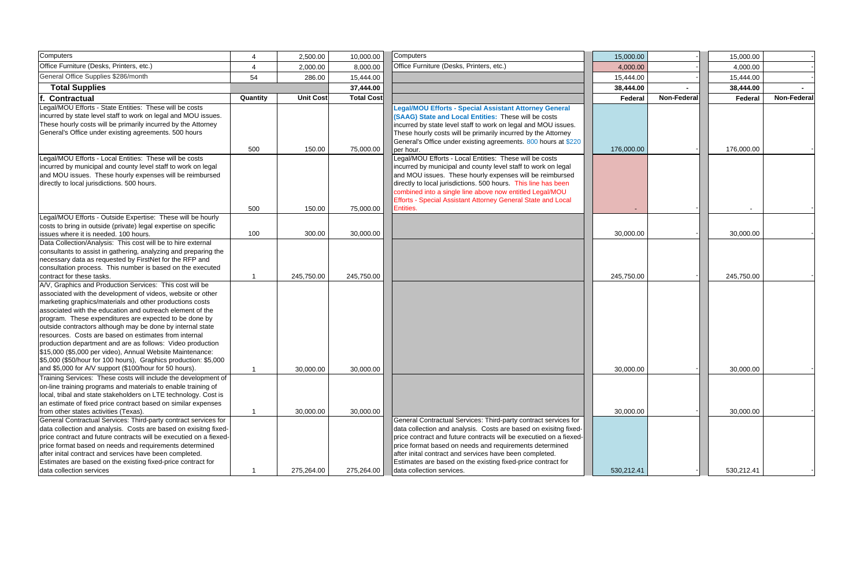| <b>Computers</b>                                                                                                                                                                                                                                                                                                                                                                                                                                                                                                                                                                                                                |          | 2,500.00         | 10,000.00         | Computers                                                                                                                                                                                                                                                                                                                                                                                                                    | 15,000.00  |             | 15,000.00  |             |
|---------------------------------------------------------------------------------------------------------------------------------------------------------------------------------------------------------------------------------------------------------------------------------------------------------------------------------------------------------------------------------------------------------------------------------------------------------------------------------------------------------------------------------------------------------------------------------------------------------------------------------|----------|------------------|-------------------|------------------------------------------------------------------------------------------------------------------------------------------------------------------------------------------------------------------------------------------------------------------------------------------------------------------------------------------------------------------------------------------------------------------------------|------------|-------------|------------|-------------|
| Office Furniture (Desks, Printers, etc.)                                                                                                                                                                                                                                                                                                                                                                                                                                                                                                                                                                                        |          | 2,000.00         | 8,000.00          | Office Furniture (Desks, Printers, etc.)                                                                                                                                                                                                                                                                                                                                                                                     | 4,000.00   |             | 4,000.00   |             |
| General Office Supplies \$286/month                                                                                                                                                                                                                                                                                                                                                                                                                                                                                                                                                                                             | 54       | 286.00           | 15,444.00         |                                                                                                                                                                                                                                                                                                                                                                                                                              | 15,444.00  |             | 15,444.00  |             |
| <b>Total Supplies</b>                                                                                                                                                                                                                                                                                                                                                                                                                                                                                                                                                                                                           |          |                  | 37,444.00         |                                                                                                                                                                                                                                                                                                                                                                                                                              | 38,444.00  |             | 38,444.00  |             |
| f. Contractual                                                                                                                                                                                                                                                                                                                                                                                                                                                                                                                                                                                                                  | Quantity | <b>Unit Cost</b> | <b>Total Cost</b> |                                                                                                                                                                                                                                                                                                                                                                                                                              | Federal    | Non-Federal | Federal    | Non-Federal |
| Legal/MOU Efforts - State Entities: These will be costs<br>incurred by state level staff to work on legal and MOU issues.<br>These hourly costs will be primarily incurred by the Attorney<br>General's Office under existing agreements. 500 hours                                                                                                                                                                                                                                                                                                                                                                             | 500      | 150.00           | 75,000.00         | <b>Legal/MOU Efforts - Special Assistant Attorney General</b><br>(SAAG) State and Local Entities: These will be costs<br>incurred by state level staff to work on legal and MOU issues.<br>These hourly costs will be primarily incurred by the Attorney<br>General's Office under existing agreements. 800 hours at \$220<br>per hour.                                                                                      | 176,000.00 |             | 176,000.00 |             |
| Legal/MOU Efforts - Local Entities: These will be costs<br>incurred by municipal and county level staff to work on legal<br>and MOU issues. These hourly expenses will be reimbursed<br>directly to local jurisdictions. 500 hours.                                                                                                                                                                                                                                                                                                                                                                                             | 500      | 150.00           | 75,000.00         | Legal/MOU Efforts - Local Entities: These will be costs<br>incurred by municipal and county level staff to work on legal<br>and MOU issues. These hourly expenses will be reimbursed<br>directly to local jurisdictions. 500 hours. This line has been<br>combined into a single line above now entitled Legal/MOU<br>Efforts - Special Assistant Attorney General State and Local<br>Entities.                              |            |             |            |             |
| Legal/MOU Efforts - Outside Expertise: These will be hourly<br>costs to bring in outside (private) legal expertise on specific<br>issues where it is needed. 100 hours.                                                                                                                                                                                                                                                                                                                                                                                                                                                         | 100      | 300.00           | 30,000.00         |                                                                                                                                                                                                                                                                                                                                                                                                                              | 30,000.00  |             | 30,000.00  |             |
| Data Collection/Analysis: This cost will be to hire external<br>consultants to assist in gathering, analyzing and preparing the<br>necessary data as requested by FirstNet for the RFP and<br>consultation process. This number is based on the executed<br>contract for these tasks.                                                                                                                                                                                                                                                                                                                                           |          | 245,750.00       | 245,750.00        |                                                                                                                                                                                                                                                                                                                                                                                                                              | 245,750.00 |             | 245,750.00 |             |
| A/V, Graphics and Production Services: This cost will be<br>associated with the development of videos, website or other<br>marketing graphics/materials and other productions costs<br>associated with the education and outreach element of the<br>program. These expenditures are expected to be done by<br>outside contractors although may be done by internal state<br>resources. Costs are based on estimates from internal<br>production department and are as follows: Video production<br>\$15,000 (\$5,000 per video), Annual Website Maintenance:<br>\$5,000 (\$50/hour for 100 hours), Graphics production: \$5,000 |          |                  |                   |                                                                                                                                                                                                                                                                                                                                                                                                                              |            |             |            |             |
| and \$5,000 for A/V support (\$100/hour for 50 hours).                                                                                                                                                                                                                                                                                                                                                                                                                                                                                                                                                                          |          | 30,000.00        | 30,000.00         |                                                                                                                                                                                                                                                                                                                                                                                                                              | 30,000.00  |             | 30,000.00  |             |
| Training Services: These costs will include the development of<br>on-line training programs and materials to enable training of<br>local, tribal and state stakeholders on LTE technology. Cost is<br>an estimate of fixed price contract based on similar expenses<br>from other states activities (Texas).                                                                                                                                                                                                                                                                                                                    |          | 30,000.00        | 30,000.00         |                                                                                                                                                                                                                                                                                                                                                                                                                              | 30,000.00  |             | 30,000.00  |             |
| General Contractual Services: Third-party contract services for<br>data collection and analysis. Costs are based on exisitng fixed-<br>price contract and future contracts will be executied on a fiexed-<br>price format based on needs and requirements determined<br>after inital contract and services have been completed.<br>Estimates are based on the existing fixed-price contract for<br>data collection services                                                                                                                                                                                                     |          | 275,264.00       | 275,264.00        | General Contractual Services: Third-party contract services for<br>data collection and analysis. Costs are based on exisitng fixed-<br>price contract and future contracts will be executied on a fiexed-<br>price format based on needs and requirements determined<br>after inital contract and services have been completed.<br>Estimates are based on the existing fixed-price contract for<br>data collection services. | 530,212.41 |             | 530,212.41 |             |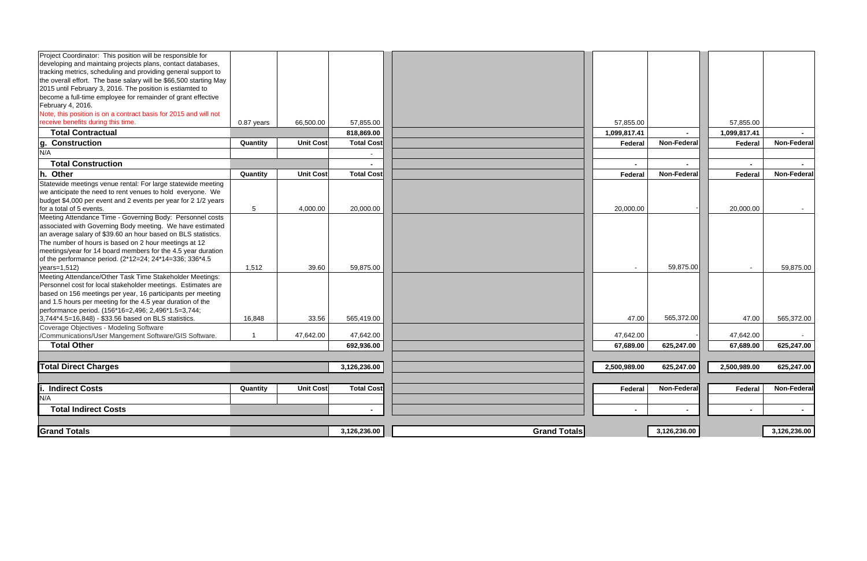| Project Coordinator: This position will be responsible for        |            |                  |                   |                     |              |                    |                |                    |
|-------------------------------------------------------------------|------------|------------------|-------------------|---------------------|--------------|--------------------|----------------|--------------------|
| developing and maintaing projects plans, contact databases,       |            |                  |                   |                     |              |                    |                |                    |
| tracking metrics, scheduling and providing general support to     |            |                  |                   |                     |              |                    |                |                    |
| the overall effort. The base salary will be \$66,500 starting May |            |                  |                   |                     |              |                    |                |                    |
| 2015 until February 3, 2016. The position is estiamted to         |            |                  |                   |                     |              |                    |                |                    |
| become a full-time employee for remainder of grant effective      |            |                  |                   |                     |              |                    |                |                    |
| February 4, 2016.                                                 |            |                  |                   |                     |              |                    |                |                    |
| Note, this position is on a contract basis for 2015 and will not  |            |                  |                   |                     |              |                    |                |                    |
| receive benefits during this time.                                | 0.87 years | 66,500.00        | 57,855.00         |                     | 57,855.00    |                    | 57,855.00      |                    |
| <b>Total Contractual</b>                                          |            |                  | 818,869.00        |                     | 1,099,817.41 |                    | 1,099,817.41   |                    |
| <b>Construction</b><br>g.                                         | Quantity   | <b>Unit Cost</b> | <b>Total Cost</b> |                     | Federal      | Non-Federa         | Federal        | Non-Federal        |
| N/A                                                               |            |                  | $\blacksquare$    |                     |              |                    |                |                    |
| <b>Total Construction</b>                                         |            |                  |                   |                     |              |                    |                |                    |
| h. Other                                                          | Quantity   | <b>Unit Cost</b> | <b>Total Cost</b> |                     | Federal      | Non-Federal        | Federal        | Non-Federal        |
| Statewide meetings venue rental: For large statewide meeting      |            |                  |                   |                     |              |                    |                |                    |
| we anticipate the need to rent venues to hold everyone. We        |            |                  |                   |                     |              |                    |                |                    |
| budget \$4,000 per event and 2 events per year for 2 1/2 years    |            |                  |                   |                     |              |                    |                |                    |
| for a total of 5 events.                                          | 5          | 4,000.00         | 20,000.00         |                     | 20,000.00    |                    | 20,000.00      | $\sim 100$         |
| Meeting Attendance Time - Governing Body: Personnel costs         |            |                  |                   |                     |              |                    |                |                    |
| associated with Governing Body meeting. We have estimated         |            |                  |                   |                     |              |                    |                |                    |
| an average salary of \$39.60 an hour based on BLS statistics.     |            |                  |                   |                     |              |                    |                |                    |
| The number of hours is based on 2 hour meetings at 12             |            |                  |                   |                     |              |                    |                |                    |
| meetings/year for 14 board members for the 4.5 year duration      |            |                  |                   |                     |              |                    |                |                    |
| of the performance period. (2*12=24; 24*14=336; 336*4.5           |            |                  |                   |                     |              |                    |                |                    |
| years=1,512)                                                      | 1,512      | 39.60            | 59,875.00         |                     |              | 59,875.00          | $\sim$         | 59,875.00          |
| Meeting Attendance/Other Task Time Stakeholder Meetings:          |            |                  |                   |                     |              |                    |                |                    |
| Personnel cost for local stakeholder meetings. Estimates are      |            |                  |                   |                     |              |                    |                |                    |
| based on 156 meetings per year, 16 participants per meeting       |            |                  |                   |                     |              |                    |                |                    |
| and 1.5 hours per meeting for the 4.5 year duration of the        |            |                  |                   |                     |              |                    |                |                    |
| performance period. (156*16=2,496; 2,496*1.5=3,744;               |            |                  |                   |                     |              |                    |                |                    |
| 3,744*4.5=16,848) - \$33.56 based on BLS statistics.              | 16,848     | 33.56            | 565,419.00        |                     | 47.00        | 565,372.00         | 47.00          | 565,372.00         |
| Coverage Objectives - Modeling Software                           |            |                  |                   |                     |              |                    |                |                    |
| /Communications/User Mangement Software/GIS Software.             |            | 47,642.00        | 47,642.00         |                     | 47,642.00    |                    | 47,642.00      |                    |
| <b>Total Other</b>                                                |            |                  | 692,936.00        |                     | 67,689.00    | 625,247.00         | 67,689.00      | 625,247.00         |
|                                                                   |            |                  |                   |                     |              |                    |                |                    |
| <b>Total Direct Charges</b>                                       |            |                  | 3,126,236.00      |                     | 2,500,989.00 | 625,247.00         | 2,500,989.00   | 625,247.00         |
|                                                                   |            |                  |                   |                     |              |                    |                |                    |
| <b>I. Indirect Costs</b>                                          | Quantity   | <b>Unit Cost</b> | <b>Total Cost</b> |                     | Federal      | <b>Non-Federal</b> | Federal        | <b>Non-Federal</b> |
| N/A                                                               |            |                  |                   |                     |              |                    |                |                    |
| <b>Total Indirect Costs</b>                                       |            |                  | $\sim$            |                     |              | $\sim$             | $\blacksquare$ | $\sim$ 10 $\pm$    |
|                                                                   |            |                  |                   |                     |              |                    |                |                    |
| <b>Grand Totals</b>                                               |            |                  | 3,126,236.00      | <b>Grand Totals</b> |              | 3,126,236.00       |                | 3,126,236.00       |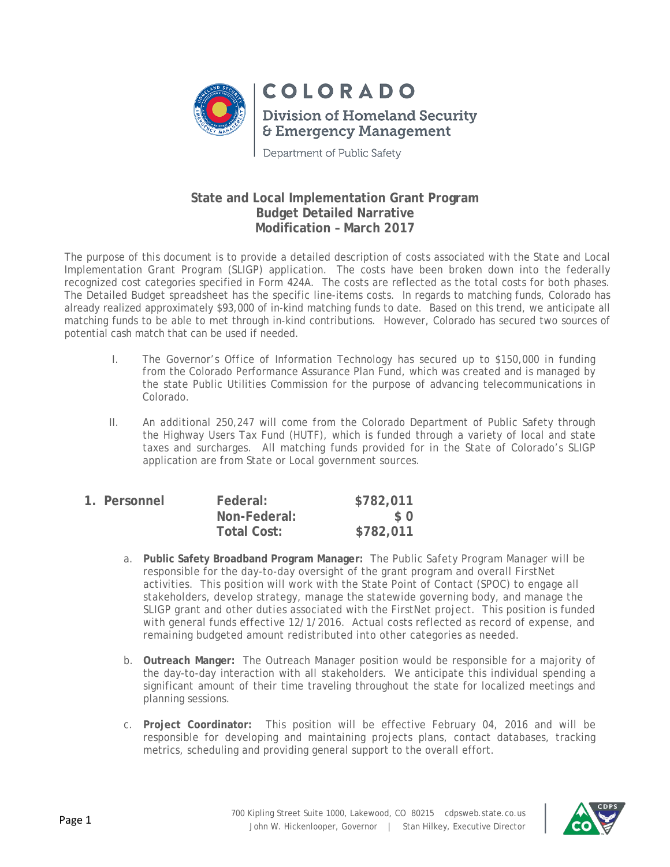

Department of Public Safety

## **State and Local Implementation Grant Program Budget Detailed Narrative Modification – March 2017**

The purpose of this document is to provide a detailed description of costs associated with the State and Local Implementation Grant Program (SLIGP) application. The costs have been broken down into the federally recognized cost categories specified in Form 424A. The costs are reflected as the total costs for both phases. The Detailed Budget spreadsheet has the specific line-items costs. In regards to matching funds, Colorado has already realized approximately \$93,000 of in-kind matching funds to date. Based on this trend, we anticipate all matching funds to be able to met through in-kind contributions. However, Colorado has secured two sources of potential cash match that can be used if needed.

- I. The Governor's Office of Information Technology has secured up to \$150,000 in funding from the Colorado Performance Assurance Plan Fund, which was created and is managed by the state Public Utilities Commission for the purpose of advancing telecommunications in Colorado.
- II. An additional 250,247 will come from the Colorado Department of Public Safety through the Highway Users Tax Fund (HUTF), which is funded through a variety of local and state taxes and surcharges. All matching funds provided for in the State of Colorado's SLIGP application are from State or Local government sources.

| 1. Personnel | Federal:           | \$782,011 |
|--------------|--------------------|-----------|
|              | Non-Federal:       | $\Omega$  |
|              | <b>Total Cost:</b> | \$782,011 |

- a. **Public Safety Broadband Program Manager:** The Public Safety Program Manager will be responsible for the day-to-day oversight of the grant program and overall FirstNet activities. This position will work with the State Point of Contact (SPOC) to engage all stakeholders, develop strategy, manage the statewide governing body, and manage the SLIGP grant and other duties associated with the FirstNet project. This position is funded with general funds effective 12/1/2016. Actual costs reflected as record of expense, and remaining budgeted amount redistributed into other categories as needed.
- b. **Outreach Manger:** The Outreach Manager position would be responsible for a majority of the day-to-day interaction with all stakeholders. We anticipate this individual spending a significant amount of their time traveling throughout the state for localized meetings and planning sessions.
- c. **Project Coordinator:** This position will be effective February 04, 2016 and will be responsible for developing and maintaining projects plans, contact databases, tracking metrics, scheduling and providing general support to the overall effort.

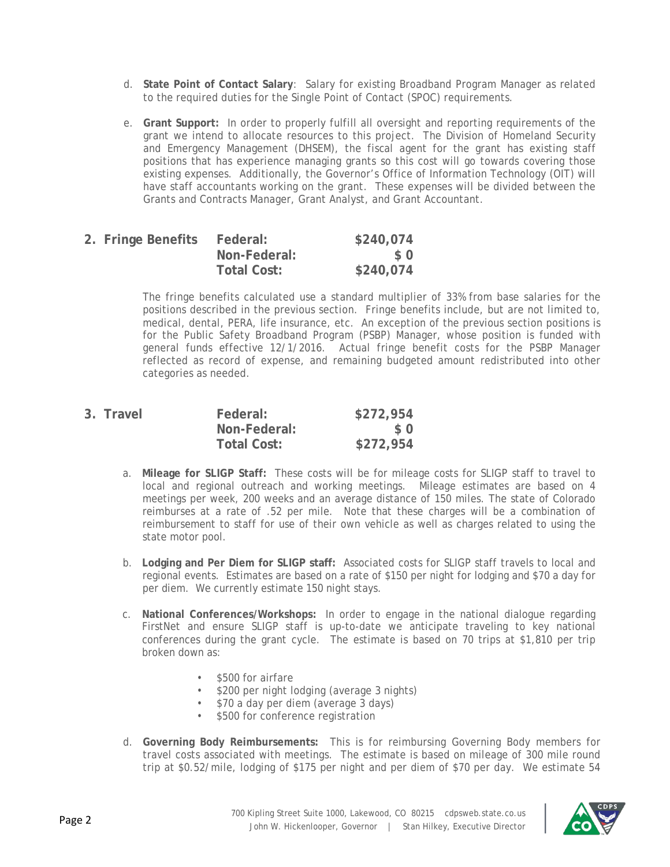- d. **State Point of Contact Salary**: Salary for existing Broadband Program Manager as related to the required duties for the Single Point of Contact (SPOC) requirements.
- e. **Grant Support:** In order to properly fulfill all oversight and reporting requirements of the grant we intend to allocate resources to this project. The Division of Homeland Security and Emergency Management (DHSEM), the fiscal agent for the grant has existing staff positions that has experience managing grants so this cost will go towards covering those existing expenses. Additionally, the Governor's Office of Information Technology (OIT) will have staff accountants working on the grant. These expenses will be divided between the Grants and Contracts Manager, Grant Analyst, and Grant Accountant.

| 2. Fringe Benefits | Federal:     | \$240,074 |
|--------------------|--------------|-----------|
|                    | Non-Federal: | S O       |
|                    | Total Cost:  | \$240,074 |

The fringe benefits calculated use a standard multiplier of 33% from base salaries for the positions described in the previous section. Fringe benefits include, but are not limited to, medical, dental, PERA, life insurance, etc. An exception of the previous section positions is for the Public Safety Broadband Program (PSBP) Manager, whose position is funded with general funds effective 12/1/2016. Actual fringe benefit costs for the PSBP Manager reflected as record of expense, and remaining budgeted amount redistributed into other categories as needed.

| 3. Travel | Federal:     | \$272,954 |
|-----------|--------------|-----------|
|           | Non-Federal: | SO.       |
|           | Total Cost:  | \$272,954 |

- a. **Mileage for SLIGP Staff:** These costs will be for mileage costs for SLIGP staff to travel to local and regional outreach and working meetings. Mileage estimates are based on 4 meetings per week, 200 weeks and an average distance of 150 miles. The state of Colorado reimburses at a rate of .52 per mile. Note that these charges will be a combination of reimbursement to staff for use of their own vehicle as well as charges related to using the state motor pool.
- b. **Lodging and Per Diem for SLIGP staff:** Associated costs for SLIGP staff travels to local and regional events. Estimates are based on a rate of \$150 per night for lodging and \$70 a day for per diem. We currently estimate 150 night stays.
- c. **National Conferences/Workshops:** In order to engage in the national dialogue regarding FirstNet and ensure SLIGP staff is up-to-date we anticipate traveling to key national conferences during the grant cycle. The estimate is based on 70 trips at \$1,810 per trip broken down as:
	- \$500 for airfare
	- \$200 per night lodging (average 3 nights)
	- \$70 a day per diem (average 3 days)
	- \$500 for conference registration
- d. **Governing Body Reimbursements:** This is for reimbursing Governing Body members for travel costs associated with meetings. The estimate is based on mileage of 300 mile round trip at \$0.52/mile, lodging of \$175 per night and per diem of \$70 per day. We estimate 54

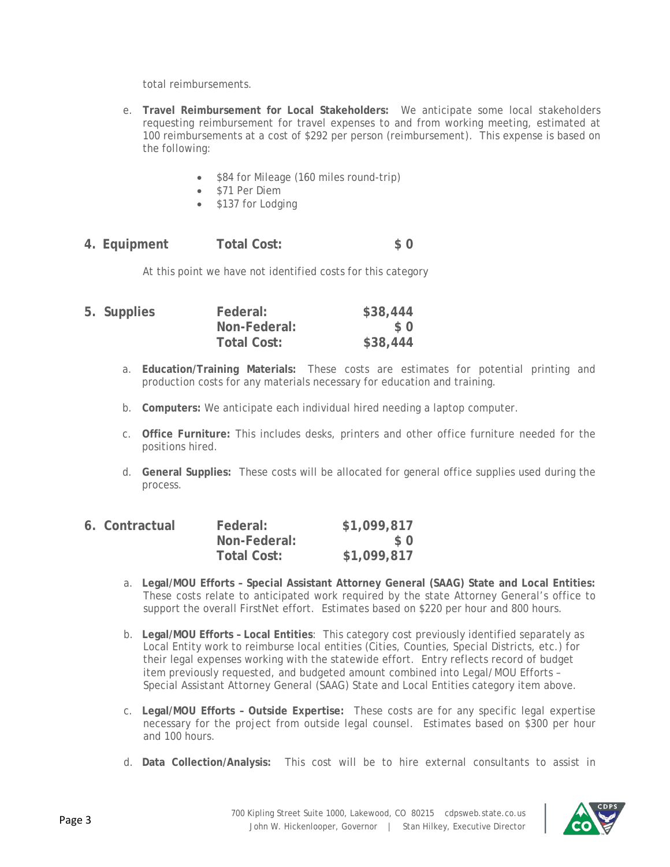total reimbursements.

- e. **Travel Reimbursement for Local Stakeholders:** We anticipate some local stakeholders requesting reimbursement for travel expenses to and from working meeting, estimated at 100 reimbursements at a cost of \$292 per person (reimbursement). This expense is based on the following:
	- \$84 for Mileage (160 miles round-trip)
	- \$71 Per Diem
	- \$137 for Lodging

**4. Equipment Total Cost: \$ 0**

At this point we have not identified costs for this category

| 5. Supplies | Federal:           | \$38,444 |
|-------------|--------------------|----------|
|             | Non-Federal:       | $\Omega$ |
|             | <b>Total Cost:</b> | \$38,444 |

- a. **Education/Training Materials:** These costs are estimates for potential printing and production costs for any materials necessary for education and training.
- b. **Computers:** We anticipate each individual hired needing a laptop computer.
- c. **Office Furniture:** This includes desks, printers and other office furniture needed for the positions hired.
- d. **General Supplies:** These costs will be allocated for general office supplies used during the process.

| 6. Contractual | Federal:     | \$1,099,817 |
|----------------|--------------|-------------|
|                | Non-Federal: | \$0         |
|                | Total Cost:  | \$1,099,817 |

- a. **Legal/MOU Efforts – Special Assistant Attorney General (SAAG) State and Local Entities:**  These costs relate to anticipated work required by the state Attorney General's office to support the overall FirstNet effort. Estimates based on \$220 per hour and 800 hours.
- b. **Legal/MOU Efforts – Local Entities**: This category cost previously identified separately as Local Entity work to reimburse local entities (Cities, Counties, Special Districts, etc.) for their legal expenses working with the statewide effort. Entry reflects record of budget item previously requested, and budgeted amount combined into Legal/MOU Efforts – Special Assistant Attorney General (SAAG) State and Local Entities category item above.
- c. **Legal/MOU Efforts – Outside Expertise:** These costs are for any specific legal expertise necessary for the project from outside legal counsel. Estimates based on \$300 per hour and 100 hours.
- d. **Data Collection/Analysis:** This cost will be to hire external consultants to assist in

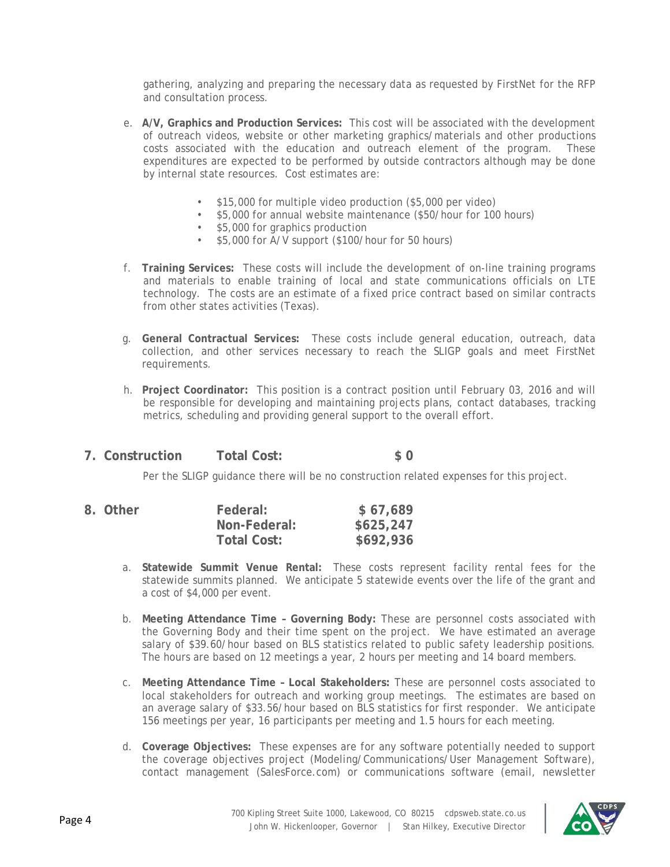gathering, analyzing and preparing the necessary data as requested by FirstNet for the RFP and consultation process.

- e. **A/V, Graphics and Production Services:** This cost will be associated with the development of outreach videos, website or other marketing graphics/materials and other productions costs associated with the education and outreach element of the program. These expenditures are expected to be performed by outside contractors although may be done by internal state resources. Cost estimates are:
	- \$15,000 for multiple video production (\$5,000 per video)
	- \$5,000 for annual website maintenance (\$50/hour for 100 hours)
	- \$5,000 for graphics production
	- \$5,000 for A/V support (\$100/hour for 50 hours)
- f. **Training Services:** These costs will include the development of on-line training programs and materials to enable training of local and state communications officials on LTE technology. The costs are an estimate of a fixed price contract based on similar contracts from other states activities (Texas).
- g. **General Contractual Services:** These costs include general education, outreach, data collection, and other services necessary to reach the SLIGP goals and meet FirstNet requirements.
- h. **Project Coordinator:** This position is a contract position until February 03, 2016 and will be responsible for developing and maintaining projects plans, contact databases, tracking metrics, scheduling and providing general support to the overall effort.
- **7. Construction Total Cost: \$ 0**

Per the SLIGP guidance there will be no construction related expenses for this project.

| 8. Other | Federal:     | \$67,689  |
|----------|--------------|-----------|
|          | Non-Federal: | \$625,247 |
|          | Total Cost:  | \$692,936 |

- a. **Statewide Summit Venue Rental:** These costs represent facility rental fees for the statewide summits planned. We anticipate 5 statewide events over the life of the grant and a cost of \$4,000 per event.
- b. **Meeting Attendance Time – Governing Body:** These are personnel costs associated with the Governing Body and their time spent on the project. We have estimated an average salary of \$39.60/hour based on BLS statistics related to public safety leadership positions. The hours are based on 12 meetings a year, 2 hours per meeting and 14 board members.
- c. **Meeting Attendance Time – Local Stakeholders:** These are personnel costs associated to local stakeholders for outreach and working group meetings. The estimates are based on an average salary of \$33.56/hour based on BLS statistics for first responder. We anticipate 156 meetings per year, 16 participants per meeting and 1.5 hours for each meeting.
- d. **Coverage Objectives:** These expenses are for any software potentially needed to support the coverage objectives project (Modeling/Communications/User Management Software), contact management (SalesForce.com) or communications software (email, newsletter